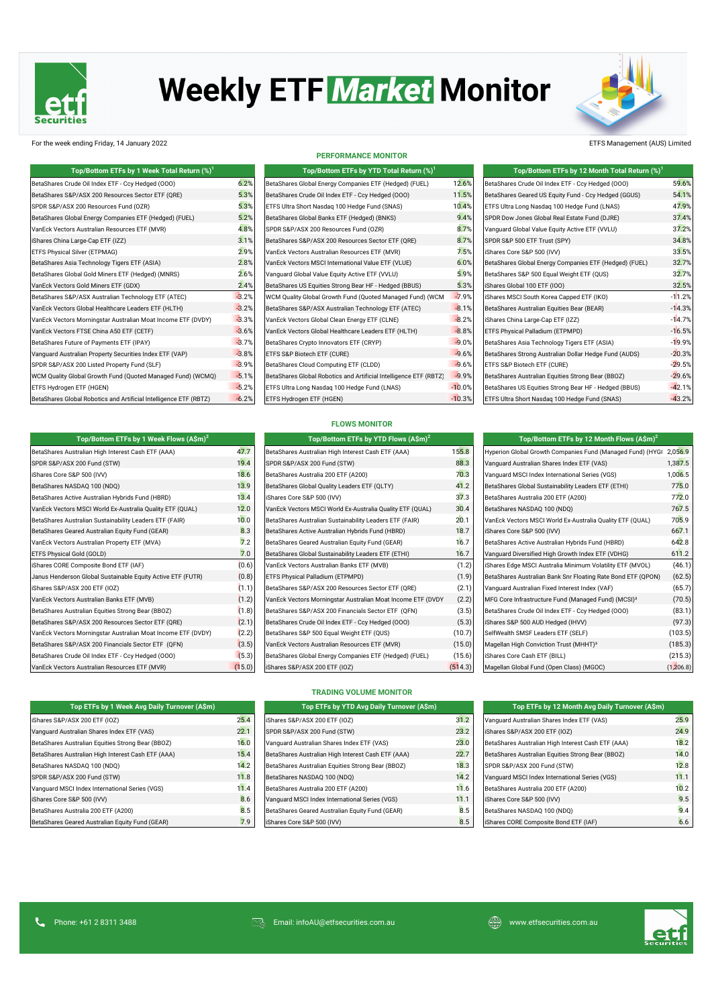

# **Weekly ETF Market Monitor**



For the week ending Friday, 14 January 2022 ETFS Management (AUS) Limited

| Top/Bottom ETFs by 1 Week Total Return (%) <sup>1</sup>           |         | Top/Bottom ETFs by YTD Total Return $(\%)^1$                      |          | Top/Bottom ETFs by 12 Month Total Return (%) <sup>1</sup> |          |
|-------------------------------------------------------------------|---------|-------------------------------------------------------------------|----------|-----------------------------------------------------------|----------|
| BetaShares Crude Oil Index ETF - Ccy Hedged (000)                 | 6.2%    | BetaShares Global Energy Companies ETF (Hedged) (FUEL)            | 12.6%    | BetaShares Crude Oil Index ETF - Ccy Hedged (000)         | 59.6%    |
| BetaShares S&P/ASX 200 Resources Sector ETF (QRE)                 | 5.3%    | BetaShares Crude Oil Index ETF - Ccy Hedged (000)                 | 11.5%    | BetaShares Geared US Equity Fund - Ccy Hedged (GGUS)      | 54.1%    |
| SPDR S&P/ASX 200 Resources Fund (OZR)                             | 5.3%    | ETFS Ultra Short Nasdag 100 Hedge Fund (SNAS)                     | 10.4%    | ETFS Ultra Long Nasdag 100 Hedge Fund (LNAS)              | 47.9%    |
| BetaShares Global Energy Companies ETF (Hedged) (FUEL)            | 5.2%    | BetaShares Global Banks ETF (Hedged) (BNKS)                       | 9.4%     | SPDR Dow Jones Global Real Estate Fund (DJRE)             | 37.4%    |
| VanEck Vectors Australian Resources ETF (MVR)                     | 4.8%    | SPDR S&P/ASX 200 Resources Fund (OZR)                             | 8.7%     | Vanguard Global Value Equity Active ETF (VVLU)            | 37.2%    |
| iShares China Large-Cap ETF (IZZ)                                 | 3.1%    | BetaShares S&P/ASX 200 Resources Sector ETF (QRE)                 | 8.7%     | SPDR S&P 500 ETF Trust (SPY)                              | 34.8%    |
| <b>ETFS Physical Silver (ETPMAG)</b>                              | 2.9%    | VanEck Vectors Australian Resources ETF (MVR)                     | 7.5%     | iShares Core S&P 500 (IVV)                                | 33.5%    |
| BetaShares Asia Technology Tigers ETF (ASIA)                      | 2.8%    | VanEck Vectors MSCI International Value ETF (VLUE)                | 6.0%     | BetaShares Global Energy Companies ETF (Hedged) (FUEL)    | 32.7%    |
| BetaShares Global Gold Miners ETF (Hedged) (MNRS)                 | 2.6%    | Vanguard Global Value Equity Active ETF (VVLU)                    | 5.9%     | BetaShares S&P 500 Equal Weight ETF (QUS)                 | 32.7%    |
| VanEck Vectors Gold Miners ETF (GDX)                              | 2.4%    | BetaShares US Equities Strong Bear HF - Hedged (BBUS)             | 5.3%     | iShares Global 100 ETF (IOO)                              | 32.5%    |
| BetaShares S&P/ASX Australian Technology ETF (ATEC)               | $-3.2%$ | WCM Quality Global Growth Fund (Quoted Managed Fund) (WCM         | $-7.9%$  | iShares MSCI South Korea Capped ETF (IKO)                 | $-11.2%$ |
| VanEck Vectors Global Healthcare Leaders ETF (HLTH)               | $-3.2%$ | BetaShares S&P/ASX Australian Technology ETF (ATEC)               | $-8.1%$  | BetaShares Australian Equities Bear (BEAR)                | $-14.3%$ |
| VanEck Vectors Morningstar Australian Moat Income ETF (DVDY)      | $-3.3%$ | VanEck Vectors Global Clean Energy ETF (CLNE)                     | $-8.2%$  | iShares China Large-Cap ETF (IZZ)                         | $-14.7%$ |
| VanEck Vectors FTSE China A50 ETF (CETF)                          | $-3.6%$ | VanEck Vectors Global Healthcare Leaders ETF (HLTH)               | $-8.8%$  | ETFS Physical Palladium (ETPMPD)                          | $-16.5%$ |
| BetaShares Future of Payments ETF (IPAY)                          | $-3.7%$ | BetaShares Crypto Innovators ETF (CRYP)                           | $-9.0%$  | BetaShares Asia Technology Tigers ETF (ASIA)              | $-19.9%$ |
| Vanguard Australian Property Securities Index ETF (VAP)           | $-3.8%$ | ETFS S&P Biotech ETF (CURE)                                       | $-9.6%$  | BetaShares Strong Australian Dollar Hedge Fund (AUDS)     | $-20.3%$ |
| SPDR S&P/ASX 200 Listed Property Fund (SLF)                       | $-3.9%$ | BetaShares Cloud Computing ETF (CLDD)                             | $-9.6%$  | ETFS S&P Biotech ETF (CURE)                               | $-29.5%$ |
| WCM Quality Global Growth Fund (Quoted Managed Fund) (WCMQ)       | $-5.1%$ | BetaShares Global Robotics and Artificial Intelligence ETF (RBTZ) | $-9.9%$  | BetaShares Australian Equities Strong Bear (BBOZ)         | $-29.6%$ |
| ETFS Hydrogen ETF (HGEN)                                          | $-5.2%$ | ETFS Ultra Long Nasdaq 100 Hedge Fund (LNAS)                      | $-10.0%$ | BetaShares US Equities Strong Bear HF - Hedged (BBUS)     | $-42.1%$ |
| BetaShares Global Robotics and Artificial Intelligence ETF (RBTZ) | $-6.2%$ | ETFS Hydrogen ETF (HGEN)                                          | $-10.3%$ | ETFS Ultra Short Nasdaq 100 Hedge Fund (SNAS)             | $-43.2%$ |

|                                                              |                                              | <b>FLOWS MONITOR</b>                                        |        |                                                                 |         |
|--------------------------------------------------------------|----------------------------------------------|-------------------------------------------------------------|--------|-----------------------------------------------------------------|---------|
| Top/Bottom ETFs by 1 Week Flows $(A \hat{S}m)^2$             | Top/Bottom ETFs by YTD Flows $(A\hat{S}m)^2$ | Top/Bottom ETFs by 12 Month Flows $(A\sin^2)$               |        |                                                                 |         |
| BetaShares Australian High Interest Cash ETF (AAA)           | 47.7                                         | BetaShares Australian High Interest Cash ETF (AAA)          | 155.8  | Hyperion Global Growth Companies Fund (Managed Fund) (HYG)      | 2,056.9 |
| SPDR S&P/ASX 200 Fund (STW)                                  | 19.4                                         | SPDR S&P/ASX 200 Fund (STW)                                 | 88.3   | Vanguard Australian Shares Index ETF (VAS)                      | 1,387.5 |
| iShares Core S&P 500 (IVV)                                   | 18.6                                         | BetaShares Australia 200 ETF (A200)                         | 70.3   | Vanguard MSCI Index International Series (VGS)                  | 1,006.5 |
| BetaShares NASDAQ 100 (NDQ)                                  | 13.9                                         | BetaShares Global Quality Leaders ETF (QLTY)                | 41.2   | BetaShares Global Sustainability Leaders ETF (ETHI)             | 775.0   |
| BetaShares Active Australian Hybrids Fund (HBRD)             | 13.4                                         | iShares Core S&P 500 (IVV)                                  | 37.3   | BetaShares Australia 200 ETF (A200)                             | 772.0   |
| VanEck Vectors MSCI World Ex-Australia Quality ETF (QUAL)    | 12.0                                         | VanEck Vectors MSCI World Ex-Australia Quality ETF (QUAL)   | 30.4   | BetaShares NASDAQ 100 (NDQ)                                     | 767.5   |
| BetaShares Australian Sustainability Leaders ETF (FAIR)      | 10.0                                         | BetaShares Australian Sustainability Leaders ETF (FAIR)     | 20.1   | VanEck Vectors MSCI World Ex-Australia Quality ETF (QUAL)       | 705.9   |
| BetaShares Geared Australian Equity Fund (GEAR)              | 8.3                                          | BetaShares Active Australian Hybrids Fund (HBRD)            | 18.7   | iShares Core S&P 500 (IVV)                                      | 667.1   |
| VanEck Vectors Australian Property ETF (MVA)                 | 7.2                                          | BetaShares Geared Australian Equity Fund (GEAR)             | 16.7   | BetaShares Active Australian Hybrids Fund (HBRD)                | 642.8   |
| ETFS Physical Gold (GOLD)                                    | 7.0                                          | BetaShares Global Sustainability Leaders ETF (ETHI)         | 16.7   | Vanguard Diversified High Growth Index ETF (VDHG)               | 611.2   |
| iShares CORE Composite Bond ETF (IAF)                        | (0.6)                                        | VanEck Vectors Australian Banks ETF (MVB)                   | (1.2)  | iShares Edge MSCI Australia Minimum Volatility ETF (MVOL)       | (46.1)  |
| Janus Henderson Global Sustainable Equity Active ETF (FUTR)  | (0.8)                                        | ETFS Physical Palladium (ETPMPD)                            | (1.9)  | BetaShares Australian Bank Snr Floating Rate Bond ETF (QPON)    | (62.5)  |
| iShares S&P/ASX 200 ETF (IOZ)                                | (1.1)                                        | BetaShares S&P/ASX 200 Resources Sector ETF (QRE)           | (2.1)  | Vanguard Australian Fixed Interest Index (VAF)                  | (65.7)  |
| VanEck Vectors Australian Banks ETF (MVB)                    | (1.2)                                        | VanEck Vectors Morningstar Australian Moat Income ETF (DVDY | (2.2)  | MFG Core Infrastructure Fund (Managed Fund) (MCSI) <sup>3</sup> | (70.5)  |
| BetaShares Australian Equities Strong Bear (BBOZ)            | (1.8)                                        | BetaShares S&P/ASX 200 Financials Sector ETF (QFN)          | (3.5)  | BetaShares Crude Oil Index ETF - Ccy Hedged (000)               | (83.1)  |
| BetaShares S&P/ASX 200 Resources Sector ETF (QRE)            | (2.1)                                        | BetaShares Crude Oil Index ETF - Ccy Hedged (000)           | (5.3)  | iShares S&P 500 AUD Hedged (IHVV)                               | (97.3)  |
| VanEck Vectors Morningstar Australian Moat Income ETF (DVDY) | (2.2)                                        | BetaShares S&P 500 Equal Weight ETF (QUS)                   | (10.7) | SelfWealth SMSF Leaders ETF (SELF)                              | (103.5) |
| DeteChases CODIACY 200 Financials Contas FTF (OFN)           | (2E)                                         | VenEel: Vesters, Australian Desaurese FTE (MVD)             | (1.5)  | Messiles High Conviction Turns (MIHIT)3                         | (10E)   |

### **PERFORMANCE MONITOR**

| Top/Bottom ETFs by 1 Week Total Return (%) $^{\rm 1}$ |         | Top/Bottom ETFs by YTD Total Return (%) <sup>1</sup>              |          | Top/Bottom ETFs by 12 Month Total Return (%)           |
|-------------------------------------------------------|---------|-------------------------------------------------------------------|----------|--------------------------------------------------------|
| ude Oil Index ETF - Ccy Hedged (000)                  | 6.2%    | BetaShares Global Energy Companies ETF (Hedged) (FUEL)            | 12.6%    | BetaShares Crude Oil Index ETF - Ccy Hedged (000)      |
| P/ASX 200 Resources Sector ETF (QRE)                  | 5.3%    | BetaShares Crude Oil Index ETF - Ccy Hedged (000)                 | 11.5%    | BetaShares Geared US Equity Fund - Ccy Hedged (GGUS)   |
| X 200 Resources Fund (OZR)                            | 5.3%    | ETFS Ultra Short Nasdaq 100 Hedge Fund (SNAS)                     | 10.4%    | ETFS Ultra Long Nasdag 100 Hedge Fund (LNAS)           |
| obal Energy Companies ETF (Hedged) (FUEL)             | 5.2%    | BetaShares Global Banks ETF (Hedged) (BNKS)                       | 9.4%     | SPDR Dow Jones Global Real Estate Fund (DJRE)          |
| s Australian Resources ETF (MVR)                      | 4.8%    | SPDR S&P/ASX 200 Resources Fund (OZR)                             | 8.7%     | Vanguard Global Value Equity Active ETF (VVLU)         |
| Large-Cap ETF (IZZ)                                   | 3.1%    | BetaShares S&P/ASX 200 Resources Sector ETF (QRE)                 | 8.7%     | SPDR S&P 500 ETF Trust (SPY)                           |
| Silver (ETPMAG)                                       | 2.9%    | VanEck Vectors Australian Resources ETF (MVR)                     | 7.5%     | iShares Core S&P 500 (IVV)                             |
| ia Technology Tigers ETF (ASIA)                       | 2.8%    | VanEck Vectors MSCI International Value ETF (VLUE)                | 6.0%     | BetaShares Global Energy Companies ETF (Hedged) (FUEL) |
| obal Gold Miners ETF (Hedged) (MNRS)                  | 2.6%    | Vanguard Global Value Equity Active ETF (VVLU)                    | 5.9%     | BetaShares S&P 500 Equal Weight ETF (QUS)              |
| s Gold Miners ETF (GDX)                               | 2.4%    | BetaShares US Equities Strong Bear HF - Hedged (BBUS)             | 5.3%     | iShares Global 100 ETF (IOO)                           |
| P/ASX Australian Technology ETF (ATEC)                | $-3.2%$ | WCM Quality Global Growth Fund (Quoted Managed Fund) (WCM         | $-7.9%$  | iShares MSCI South Korea Capped ETF (IKO)              |
| s Global Healthcare Leaders ETF (HLTH)                | $-3.2%$ | BetaShares S&P/ASX Australian Technology ETF (ATEC)               | $-8.1%$  | BetaShares Australian Equities Bear (BEAR)             |
| s Morningstar Australian Moat Income ETF (DVDY)       | $-3.3%$ | VanEck Vectors Global Clean Energy ETF (CLNE)                     | $-8.2%$  | iShares China Large-Cap ETF (IZZ)                      |
| s FTSE China A50 ETF (CETF)                           | $-3.6%$ | VanEck Vectors Global Healthcare Leaders ETF (HLTH)               | $-8.8%$  | ETFS Physical Palladium (ETPMPD)                       |
| ture of Payments ETF (IPAY)                           | $-3.7%$ | BetaShares Crypto Innovators ETF (CRYP)                           | $-9.0%$  | BetaShares Asia Technology Tigers ETF (ASIA)           |
| ralian Property Securities Index ETF (VAP)            | $-3.8%$ | ETFS S&P Biotech ETF (CURE)                                       | $-9.6%$  | BetaShares Strong Australian Dollar Hedge Fund (AUDS)  |
| X 200 Listed Property Fund (SLF)                      | $-3.9%$ | BetaShares Cloud Computing ETF (CLDD)                             | $-9.6%$  | ETFS S&P Biotech ETF (CURE)                            |
| ilobal Growth Fund (Quoted Managed Fund) (WCMQ)       | $-5.1%$ | BetaShares Global Robotics and Artificial Intelligence ETF (RBTZ) | $-9.9%$  | BetaShares Australian Equities Strong Bear (BBOZ)      |
| n ETF (HGEN)                                          | $-5.2%$ | ETFS Ultra Long Nasdag 100 Hedge Fund (LNAS)                      | $-10.0%$ | BetaShares US Equities Strong Bear HF - Hedged (BBUS)  |
| obal Robotics and Artificial Intelligence ETF (RBTZ)  | $-6.2%$ | ETFS Hydrogen ETF (HGEN)                                          | $-10.3%$ | ETFS Ultra Short Nasdag 100 Hedge Fund (SNAS)          |

| Top/Bottom ETFs by 12 Month Total Return $(\%)^1$      |          |
|--------------------------------------------------------|----------|
| BetaShares Crude Oil Index ETF - Ccy Hedged (000)      | 59.6%    |
| BetaShares Geared US Equity Fund - Ccy Hedged (GGUS)   | 54.1%    |
| ETFS Ultra Long Nasdag 100 Hedge Fund (LNAS)           | 47.9%    |
| SPDR Dow Jones Global Real Estate Fund (DJRE)          | 37.4%    |
| Vanquard Global Value Equity Active ETF (VVLU)         | 37.2%    |
| SPDR S&P 500 ETF Trust (SPY)                           | 34.8%    |
| iShares Core S&P 500 (IVV)                             | 33.5%    |
| BetaShares Global Energy Companies ETF (Hedged) (FUEL) | 32.7%    |
| BetaShares S&P 500 Equal Weight ETF (QUS)              | 32.7%    |
| iShares Global 100 ETF (IOO)                           | 32.5%    |
| iShares MSCI South Korea Capped ETF (IKO)              | $-11.2%$ |
| BetaShares Australian Equities Bear (BEAR)             | $-14.3%$ |
| iShares China Large-Cap ETF (IZZ)                      | $-14.7%$ |
| ETFS Physical Palladium (ETPMPD)                       | $-16.5%$ |
| BetaShares Asia Technology Tigers ETF (ASIA)           | $-19.9%$ |
| BetaShares Strong Australian Dollar Hedge Fund (AUDS)  | $-20.3%$ |
| ETFS S&P Biotech ETF (CURE)                            | $-29.5%$ |
| BetaShares Australian Equities Strong Bear (BBOZ)      | $-29.6%$ |
| BetaShares US Equities Strong Bear HF - Hedged (BBUS)  | $-42.1%$ |
| ETER Ultro Chart Nooded 100 Hodge Fund (CNAC)          | $-12.29$ |

## **FLOWS MONITOR**

| Top/Bottom ETFs by 1 Week Flows $(A\sin^2)$                  | Top/Bottom ETFs by YTD Flows (A\$m) <sup>2</sup> | Top/Bottom ETFs by 12 Month Flows $(A\$ m)^2                |         |                                                                 |            |
|--------------------------------------------------------------|--------------------------------------------------|-------------------------------------------------------------|---------|-----------------------------------------------------------------|------------|
| BetaShares Australian High Interest Cash ETF (AAA)           | 47.7                                             | BetaShares Australian High Interest Cash ETF (AAA)          | 155.8   | Hyperion Global Growth Companies Fund (Managed Fund) (HYG(      | 2.056.9    |
| SPDR S&P/ASX 200 Fund (STW)                                  | 19.4                                             | SPDR S&P/ASX 200 Fund (STW)                                 | 88.3    | Vanguard Australian Shares Index ETF (VAS)                      | 1,387.5    |
| iShares Core S&P 500 (IVV)                                   | 18.6                                             | BetaShares Australia 200 ETF (A200)                         | 70.3    | Vanguard MSCI Index International Series (VGS)                  | 1,006.5    |
| BetaShares NASDAQ 100 (NDQ)                                  | 13.9                                             | BetaShares Global Quality Leaders ETF (QLTY)                | 41.2    | BetaShares Global Sustainability Leaders ETF (ETHI)             | 775.0      |
| BetaShares Active Australian Hybrids Fund (HBRD)             | 13.4                                             | iShares Core S&P 500 (IVV)                                  | 37.3    | BetaShares Australia 200 ETF (A200)                             | 772.0      |
| VanEck Vectors MSCI World Ex-Australia Quality ETF (QUAL)    | 12.0                                             | VanEck Vectors MSCI World Ex-Australia Quality ETF (QUAL)   | 30.4    | BetaShares NASDAQ 100 (NDQ)                                     | 767.5      |
| BetaShares Australian Sustainability Leaders ETF (FAIR)      | 10.0                                             | BetaShares Australian Sustainability Leaders ETF (FAIR)     | 20.1    | VanEck Vectors MSCI World Ex-Australia Quality ETF (QUAL)       | 705.9      |
| BetaShares Geared Australian Equity Fund (GEAR)              | 8.3                                              | BetaShares Active Australian Hybrids Fund (HBRD)            | 18.7    | iShares Core S&P 500 (IVV)                                      | 667.1      |
| VanEck Vectors Australian Property ETF (MVA)                 | 7.2                                              | BetaShares Geared Australian Equity Fund (GEAR)             | 16.7    | BetaShares Active Australian Hybrids Fund (HBRD)                | 642.8      |
| ETFS Physical Gold (GOLD)                                    | 7.0                                              | BetaShares Global Sustainability Leaders ETF (ETHI)         | 16.7    | Vanquard Diversified High Growth Index ETF (VDHG)               | 611.2      |
| iShares CORE Composite Bond ETF (IAF)                        | (0.6)                                            | VanEck Vectors Australian Banks ETF (MVB)                   | (1.2)   | iShares Edge MSCI Australia Minimum Volatility ETF (MVOL)       | (46.1)     |
| Janus Henderson Global Sustainable Equity Active ETF (FUTR)  | (0.8)                                            | ETFS Physical Palladium (ETPMPD)                            | (1.9)   | BetaShares Australian Bank Snr Floating Rate Bond ETF (QPON)    | (62.5)     |
| iShares S&P/ASX 200 ETF (IOZ)                                | (1.1)                                            | BetaShares S&P/ASX 200 Resources Sector ETF (QRE)           | (2.1)   | Vanguard Australian Fixed Interest Index (VAF)                  | (65.7)     |
| VanEck Vectors Australian Banks ETF (MVB)                    | (1.2)                                            | VanEck Vectors Morningstar Australian Moat Income ETF (DVDY | (2.2)   | MFG Core Infrastructure Fund (Managed Fund) (MCSI) <sup>3</sup> | (70.5)     |
| BetaShares Australian Equities Strong Bear (BBOZ)            | (1.8)                                            | BetaShares S&P/ASX 200 Financials Sector ETF (QFN)          | (3.5)   | BetaShares Crude Oil Index ETF - Ccy Hedged (OOO)               | (83.1)     |
| BetaShares S&P/ASX 200 Resources Sector ETF (QRE)            | (2.1)                                            | BetaShares Crude Oil Index ETF - Ccy Hedged (OOO)           | (5.3)   | iShares S&P 500 AUD Hedged (IHVV)                               | (97.3)     |
| VanEck Vectors Morningstar Australian Moat Income ETF (DVDY) | (2.2)                                            | BetaShares S&P 500 Equal Weight ETF (QUS)                   | (10.7)  | SelfWealth SMSF Leaders ETF (SELF)                              | (103.5)    |
| BetaShares S&P/ASX 200 Financials Sector ETF (QFN)           | (3.5)                                            | VanEck Vectors Australian Resources ETF (MVR)               | (15.0)  | Magellan High Conviction Trust (MHHT) <sup>3</sup>              | (185.3)    |
| BetaShares Crude Oil Index ETF - Ccy Hedged (000)            | (5.3)                                            | BetaShares Global Energy Companies ETF (Hedged) (FUEL)      | (15.6)  | iShares Core Cash ETF (BILL)                                    | (215.3)    |
| VanEck Vectors Australian Resources ETF (MVR)                | (15.0)                                           | iShares S&P/ASX 200 ETF (IOZ)                               | (514.3) | Magellan Global Fund (Open Class) (MGOC)                        | (1, 206.8) |

| Top/Bottom ETFs by 12 Month Flows $(A\sin^2)$                   |          |
|-----------------------------------------------------------------|----------|
| Hyperion Global Growth Companies Fund (Managed Fund) (HYG(      | 2,056.9  |
| Vanguard Australian Shares Index ETF (VAS)                      | 1,387.5  |
| Vanguard MSCI Index International Series (VGS)                  | 1,006.5  |
| BetaShares Global Sustainability Leaders ETF (ETHI)             | 775.0    |
| BetaShares Australia 200 ETF (A200)                             | 772.0    |
| BetaShares NASDAQ 100 (NDQ)                                     | 767.5    |
| VanEck Vectors MSCI World Ex-Australia Quality ETF (QUAL)       | 705.9    |
| iShares Core S&P 500 (IVV)                                      | 667.1    |
| BetaShares Active Australian Hybrids Fund (HBRD)                | 642.8    |
| Vanguard Diversified High Growth Index ETF (VDHG)               | 611.2    |
| iShares Edge MSCI Australia Minimum Volatility ETF (MVOL)       | (46.1)   |
| BetaShares Australian Bank Snr Floating Rate Bond ETF (QPON)    | (62.5)   |
| Vanguard Australian Fixed Interest Index (VAF)                  | (65.7)   |
| MFG Core Infrastructure Fund (Managed Fund) (MCSI) <sup>3</sup> | (70.5)   |
| BetaShares Crude Oil Index ETF - Ccy Hedged (000)               | (83.1)   |
| iShares S&P 500 AUD Hedged (IHVV)                               | (97.3)   |
| SelfWealth SMSF Leaders ETF (SELF)                              | (103.5)  |
| Magellan High Conviction Trust (MHHT) <sup>3</sup>              | (185.3)  |
| iShares Core Cash ETF (BILL)                                    | (215.3)  |
| Mogellan Clobal Fund (Open Close) (MCOC)                        | (1.2060) |

| Top ETFs by T week and Daily Turnover (ASM)        |    |
|----------------------------------------------------|----|
| iShares S&P/ASX 200 ETF (IOZ)                      | 25 |
| Vanguard Australian Shares Index ETF (VAS)         | 22 |
| BetaShares Australian Equities Strong Bear (BBOZ)  | 16 |
| BetaShares Australian High Interest Cash ETF (AAA) | 15 |
| BetaShares NASDAQ 100 (NDQ)                        | 14 |
| SPDR S&P/ASX 200 Fund (STW)                        | 11 |
| Vanquard MSCI Index International Series (VGS)     | 11 |
| iShares Core S&P 500 (IVV)                         | ε  |
| BetaShares Australia 200 ETF (A200)                | ε  |
| RetaShares Geared Australian Fauity Fund (GEAR)    | 7  |

## **TRADING VOLUME MONITOR**

|     | Top ETFs by YTD Avg Daily Turnover (A\$m)          |      | Top ETFs by 12 Month Avg Daily Turnover (A\$m)     |      |
|-----|----------------------------------------------------|------|----------------------------------------------------|------|
| 5.4 | iShares S&P/ASX 200 ETF (IOZ)                      | 31.2 | Vanquard Australian Shares Index ETF (VAS)         | 25.9 |
| 2.1 | SPDR S&P/ASX 200 Fund (STW)                        | 23.2 | iShares S&P/ASX 200 ETF (IOZ)                      | 24.9 |
| 6.0 | Vanquard Australian Shares Index ETF (VAS)         | 23.0 | BetaShares Australian High Interest Cash ETF (AAA) | 18.2 |
| 5.4 | BetaShares Australian High Interest Cash ETF (AAA) | 22.7 | BetaShares Australian Equities Strong Bear (BBOZ)  | 14.0 |
| 4.2 | BetaShares Australian Equities Strong Bear (BBOZ)  | 18.3 | SPDR S&P/ASX 200 Fund (STW)                        | 12.8 |
| 1.8 | BetaShares NASDAQ 100 (NDQ)                        | 14.2 | Vanquard MSCI Index International Series (VGS)     | 11.1 |
| 1.4 | BetaShares Australia 200 ETF (A200)                | 11.6 | BetaShares Australia 200 ETF (A200)                | 10.2 |
| 8.6 | Vanquard MSCI Index International Series (VGS)     | 11.1 | iShares Core S&P 500 (IVV)                         | 9.5  |
| 8.5 | BetaShares Geared Australian Equity Fund (GEAR)    | 8.5  | BetaShares NASDAO 100 (NDO)                        | 9.4  |
| 7.9 | iShares Core S&P 500 (IVV)                         | 8.5  | iShares CORE Composite Bond ETF (IAF)              | 6.6  |